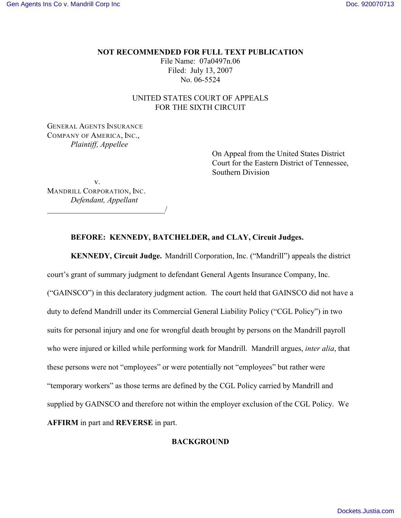#### **NOT RECOMMENDED FOR FULL TEXT PUBLICATION**

File Name: 07a0497n.06 Filed: July 13, 2007 No. 06-5524

# UNITED STATES COURT OF APPEALS FOR THE SIXTH CIRCUIT

GENERAL AGENTS INSURANCE COMPANY OF AMERICA, INC., *Plaintiff, Appellee*

> On Appeal from the United States District Court for the Eastern District of Tennessee, Southern Division

v. MANDRILL CORPORATION, INC. *Defendant, Appellant*

\_\_\_\_\_\_\_\_\_\_\_\_\_\_\_\_\_\_\_\_\_\_\_\_\_\_\_\_\_\_/

# **BEFORE: KENNEDY, BATCHELDER, and CLAY, Circuit Judges.**

**KENNEDY, Circuit Judge.** Mandrill Corporation, Inc. ("Mandrill") appeals the district court's grant of summary judgment to defendant General Agents Insurance Company, Inc. ("GAINSCO") in this declaratory judgment action. The court held that GAINSCO did not have a duty to defend Mandrill under its Commercial General Liability Policy ("CGL Policy") in two suits for personal injury and one for wrongful death brought by persons on the Mandrill payroll who were injured or killed while performing work for Mandrill. Mandrill argues, *inter alia*, that these persons were not "employees" or were potentially not "employees" but rather were "temporary workers" as those terms are defined by the CGL Policy carried by Mandrill and supplied by GAINSCO and therefore not within the employer exclusion of the CGL Policy. We **AFFIRM** in part and **REVERSE** in part.

## **BACKGROUND**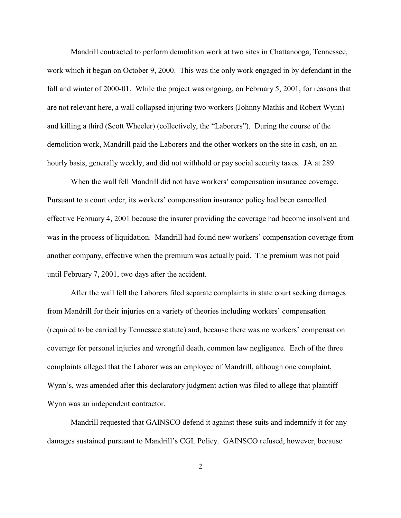Mandrill contracted to perform demolition work at two sites in Chattanooga, Tennessee, work which it began on October 9, 2000. This was the only work engaged in by defendant in the fall and winter of 2000-01. While the project was ongoing, on February 5, 2001, for reasons that are not relevant here, a wall collapsed injuring two workers (Johnny Mathis and Robert Wynn) and killing a third (Scott Wheeler) (collectively, the "Laborers"). During the course of the demolition work, Mandrill paid the Laborers and the other workers on the site in cash, on an hourly basis, generally weekly, and did not withhold or pay social security taxes. JA at 289.

When the wall fell Mandrill did not have workers' compensation insurance coverage. Pursuant to a court order, its workers' compensation insurance policy had been cancelled effective February 4, 2001 because the insurer providing the coverage had become insolvent and was in the process of liquidation. Mandrill had found new workers' compensation coverage from another company, effective when the premium was actually paid. The premium was not paid until February 7, 2001, two days after the accident.

After the wall fell the Laborers filed separate complaints in state court seeking damages from Mandrill for their injuries on a variety of theories including workers' compensation (required to be carried by Tennessee statute) and, because there was no workers' compensation coverage for personal injuries and wrongful death, common law negligence. Each of the three complaints alleged that the Laborer was an employee of Mandrill, although one complaint, Wynn's, was amended after this declaratory judgment action was filed to allege that plaintiff Wynn was an independent contractor.

Mandrill requested that GAINSCO defend it against these suits and indemnify it for any damages sustained pursuant to Mandrill's CGL Policy. GAINSCO refused, however, because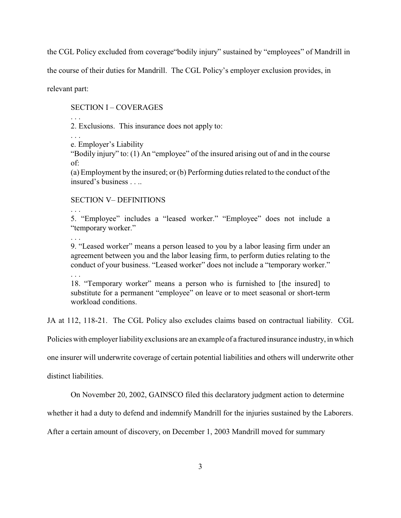the CGL Policy excluded from coverage"bodily injury" sustained by "employees" of Mandrill in

the course of their duties for Mandrill. The CGL Policy's employer exclusion provides, in

relevant part:

#### SECTION I – COVERAGES

2. Exclusions. This insurance does not apply to:

. . .

. . .

e. Employer's Liability

"Bodily injury" to: (1) An "employee" of the insured arising out of and in the course of:

(a) Employment by the insured; or (b) Performing duties related to the conduct of the insured's business . . ..

## SECTION V– DEFINITIONS

5. "Employee" includes a "leased worker." "Employee" does not include a "temporary worker."

. . .

. . .

9. "Leased worker" means a person leased to you by a labor leasing firm under an agreement between you and the labor leasing firm, to perform duties relating to the conduct of your business. "Leased worker" does not include a "temporary worker."

. . .

18. "Temporary worker" means a person who is furnished to [the insured] to substitute for a permanent "employee" on leave or to meet seasonal or short-term workload conditions.

JA at 112, 118-21. The CGL Policy also excludes claims based on contractual liability. CGL

Policies with employer liability exclusions are an example of a fractured insurance industry, in which

one insurer will underwrite coverage of certain potential liabilities and others will underwrite other

distinct liabilities.

On November 20, 2002, GAINSCO filed this declaratory judgment action to determine

whether it had a duty to defend and indemnify Mandrill for the injuries sustained by the Laborers.

After a certain amount of discovery, on December 1, 2003 Mandrill moved for summary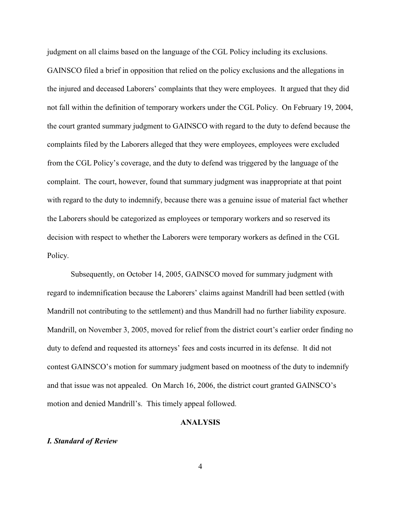judgment on all claims based on the language of the CGL Policy including its exclusions. GAINSCO filed a brief in opposition that relied on the policy exclusions and the allegations in the injured and deceased Laborers' complaints that they were employees. It argued that they did not fall within the definition of temporary workers under the CGL Policy. On February 19, 2004, the court granted summary judgment to GAINSCO with regard to the duty to defend because the complaints filed by the Laborers alleged that they were employees, employees were excluded from the CGL Policy's coverage, and the duty to defend was triggered by the language of the complaint. The court, however, found that summary judgment was inappropriate at that point with regard to the duty to indemnify, because there was a genuine issue of material fact whether the Laborers should be categorized as employees or temporary workers and so reserved its decision with respect to whether the Laborers were temporary workers as defined in the CGL Policy.

Subsequently, on October 14, 2005, GAINSCO moved for summary judgment with regard to indemnification because the Laborers' claims against Mandrill had been settled (with Mandrill not contributing to the settlement) and thus Mandrill had no further liability exposure. Mandrill, on November 3, 2005, moved for relief from the district court's earlier order finding no duty to defend and requested its attorneys' fees and costs incurred in its defense. It did not contest GAINSCO's motion for summary judgment based on mootness of the duty to indemnify and that issue was not appealed. On March 16, 2006, the district court granted GAINSCO's motion and denied Mandrill's. This timely appeal followed.

# **ANALYSIS**

# *I. Standard of Review*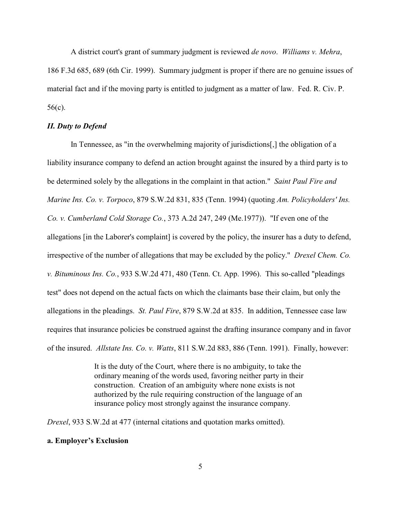A district court's grant of summary judgment is reviewed *de novo*. *Williams v. Mehra*, 186 F.3d 685, 689 (6th Cir. 1999). Summary judgment is proper if there are no genuine issues of material fact and if the moving party is entitled to judgment as a matter of law. Fed. R. Civ. P. 56(c).

## *II. Duty to Defend*

In Tennessee, as "in the overwhelming majority of jurisdictions[,] the obligation of a liability insurance company to defend an action brought against the insured by a third party is to be determined solely by the allegations in the complaint in that action." *Saint Paul Fire and Marine Ins. Co. v. Torpoco*, 879 S.W.2d 831, 835 (Tenn. 1994) (quoting *Am. Policyholders' Ins. Co. v. Cumberland Cold Storage Co.*, 373 A.2d 247, 249 (Me.1977)). "If even one of the allegations [in the Laborer's complaint] is covered by the policy, the insurer has a duty to defend, irrespective of the number of allegations that may be excluded by the policy." *Drexel Chem. Co. v. Bituminous Ins. Co.*, 933 S.W.2d 471, 480 (Tenn. Ct. App. 1996). This so-called "pleadings test" does not depend on the actual facts on which the claimants base their claim, but only the allegations in the pleadings. *St. Paul Fire*, 879 S.W.2d at 835. In addition, Tennessee case law requires that insurance policies be construed against the drafting insurance company and in favor of the insured. *Allstate Ins. Co. v. Watts*, 811 S.W.2d 883, 886 (Tenn. 1991). Finally, however:

> It is the duty of the Court, where there is no ambiguity, to take the ordinary meaning of the words used, favoring neither party in their construction. Creation of an ambiguity where none exists is not authorized by the rule requiring construction of the language of an insurance policy most strongly against the insurance company.

*Drexel*, 933 S.W.2d at 477 (internal citations and quotation marks omitted).

## **a. Employer's Exclusion**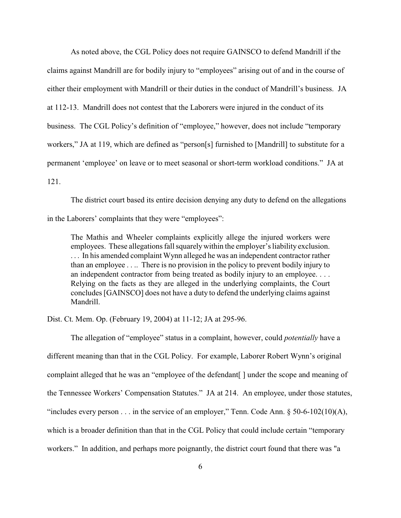As noted above, the CGL Policy does not require GAINSCO to defend Mandrill if the claims against Mandrill are for bodily injury to "employees" arising out of and in the course of either their employment with Mandrill or their duties in the conduct of Mandrill's business. JA at 112-13. Mandrill does not contest that the Laborers were injured in the conduct of its business. The CGL Policy's definition of "employee," however, does not include "temporary workers," JA at 119, which are defined as "person[s] furnished to [Mandrill] to substitute for a permanent 'employee' on leave or to meet seasonal or short-term workload conditions." JA at 121.

The district court based its entire decision denying any duty to defend on the allegations in the Laborers' complaints that they were "employees":

The Mathis and Wheeler complaints explicitly allege the injured workers were employees. These allegations fall squarely within the employer's liability exclusion. ... In his amended complaint Wynn alleged he was an independent contractor rather than an employee . . .. There is no provision in the policy to prevent bodily injury to an independent contractor from being treated as bodily injury to an employee. . . . Relying on the facts as they are alleged in the underlying complaints, the Court concludes [GAINSCO] does not have a duty to defend the underlying claims against Mandrill.

Dist. Ct. Mem. Op. (February 19, 2004) at 11-12; JA at 295-96.

The allegation of "employee" status in a complaint, however, could *potentially* have a different meaning than that in the CGL Policy. For example, Laborer Robert Wynn's original complaint alleged that he was an "employee of the defendant | under the scope and meaning of the Tennessee Workers' Compensation Statutes." JA at 214. An employee, under those statutes, "includes every person . . . in the service of an employer," Tenn. Code Ann.  $\S$  50-6-102(10)(A), which is a broader definition than that in the CGL Policy that could include certain "temporary workers." In addition, and perhaps more poignantly, the district court found that there was "a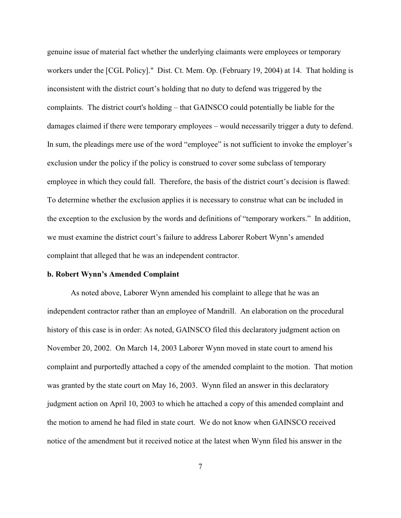genuine issue of material fact whether the underlying claimants were employees or temporary workers under the [CGL Policy]." Dist. Ct. Mem. Op. (February 19, 2004) at 14. That holding is inconsistent with the district court's holding that no duty to defend was triggered by the complaints. The district court's holding – that GAINSCO could potentially be liable for the damages claimed if there were temporary employees – would necessarily trigger a duty to defend. In sum, the pleadings mere use of the word "employee" is not sufficient to invoke the employer's exclusion under the policy if the policy is construed to cover some subclass of temporary employee in which they could fall. Therefore, the basis of the district court's decision is flawed: To determine whether the exclusion applies it is necessary to construe what can be included in the exception to the exclusion by the words and definitions of "temporary workers." In addition, we must examine the district court's failure to address Laborer Robert Wynn's amended complaint that alleged that he was an independent contractor.

#### **b. Robert Wynn's Amended Complaint**

As noted above, Laborer Wynn amended his complaint to allege that he was an independent contractor rather than an employee of Mandrill. An elaboration on the procedural history of this case is in order: As noted, GAINSCO filed this declaratory judgment action on November 20, 2002. On March 14, 2003 Laborer Wynn moved in state court to amend his complaint and purportedly attached a copy of the amended complaint to the motion. That motion was granted by the state court on May 16, 2003. Wynn filed an answer in this declaratory judgment action on April 10, 2003 to which he attached a copy of this amended complaint and the motion to amend he had filed in state court. We do not know when GAINSCO received notice of the amendment but it received notice at the latest when Wynn filed his answer in the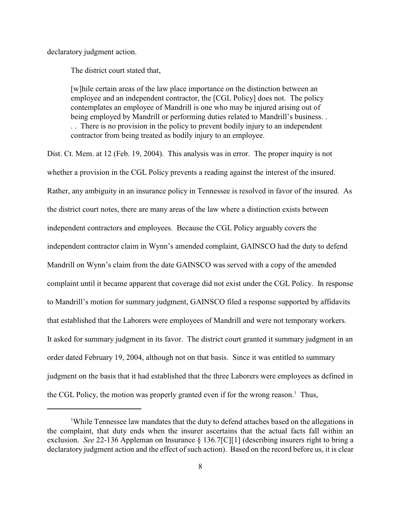declaratory judgment action.

The district court stated that,

[w]hile certain areas of the law place importance on the distinction between an employee and an independent contractor, the [CGL Policy] does not. The policy contemplates an employee of Mandrill is one who may be injured arising out of being employed by Mandrill or performing duties related to Mandrill's business... . . There is no provision in the policy to prevent bodily injury to an independent contractor from being treated as bodily injury to an employee.

Dist. Ct. Mem. at 12 (Feb. 19, 2004). This analysis was in error. The proper inquiry is not whether a provision in the CGL Policy prevents a reading against the interest of the insured. Rather, any ambiguity in an insurance policy in Tennessee is resolved in favor of the insured. As the district court notes, there are many areas of the law where a distinction exists between independent contractors and employees. Because the CGL Policy arguably covers the independent contractor claim in Wynn's amended complaint, GAINSCO had the duty to defend Mandrill on Wynn's claim from the date GAINSCO was served with a copy of the amended complaint until it became apparent that coverage did not exist under the CGL Policy. In response to Mandrill's motion for summary judgment, GAINSCO filed a response supported by affidavits that established that the Laborers were employees of Mandrill and were not temporary workers. It asked for summary judgment in its favor. The district court granted it summary judgment in an order dated February 19, 2004, although not on that basis. Since it was entitled to summary judgment on the basis that it had established that the three Laborers were employees as defined in the CGL Policy, the motion was properly granted even if for the wrong reason.<sup>1</sup> Thus,

<sup>&</sup>lt;sup>1</sup>While Tennessee law mandates that the duty to defend attaches based on the allegations in the complaint, that duty ends when the insurer ascertains that the actual facts fall within an exclusion. *See* 22-136 Appleman on Insurance § 136.7[C][1] (describing insurers right to bring a declaratory judgment action and the effect of such action). Based on the record before us, it is clear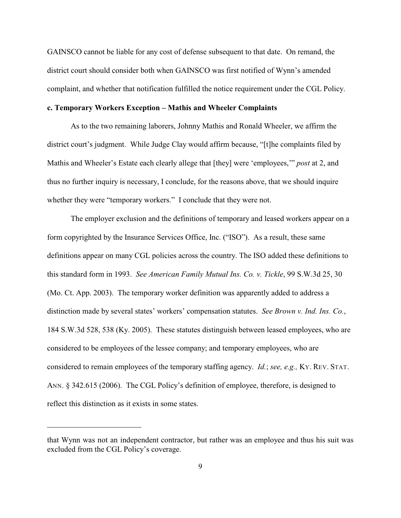GAINSCO cannot be liable for any cost of defense subsequent to that date. On remand, the district court should consider both when GAINSCO was first notified of Wynn's amended complaint, and whether that notification fulfilled the notice requirement under the CGL Policy.

# **c. Temporary Workers Exception – Mathis and Wheeler Complaints**

As to the two remaining laborers, Johnny Mathis and Ronald Wheeler, we affirm the district court's judgment. While Judge Clay would affirm because, "[t]he complaints filed by Mathis and Wheeler's Estate each clearly allege that [they] were 'employees,'" *post* at 2, and thus no further inquiry is necessary, I conclude, for the reasons above, that we should inquire whether they were "temporary workers." I conclude that they were not.

The employer exclusion and the definitions of temporary and leased workers appear on a form copyrighted by the Insurance Services Office, Inc. ("ISO"). As a result, these same definitions appear on many CGL policies across the country. The ISO added these definitions to this standard form in 1993. *See American Family Mutual Ins. Co. v. Tickle*, 99 S.W.3d 25, 30 (Mo. Ct. App. 2003). The temporary worker definition was apparently added to address a distinction made by several states' workers' compensation statutes. *See Brown v. Ind. Ins. Co.*, 184 S.W.3d 528, 538 (Ky. 2005). These statutes distinguish between leased employees, who are considered to be employees of the lessee company; and temporary employees, who are considered to remain employees of the temporary staffing agency. *Id.*; *see, e.g.,* KY. REV. STAT. ANN. § 342.615 (2006). The CGL Policy's definition of employee, therefore, is designed to reflect this distinction as it exists in some states.

that Wynn was not an independent contractor, but rather was an employee and thus his suit was excluded from the CGL Policy's coverage.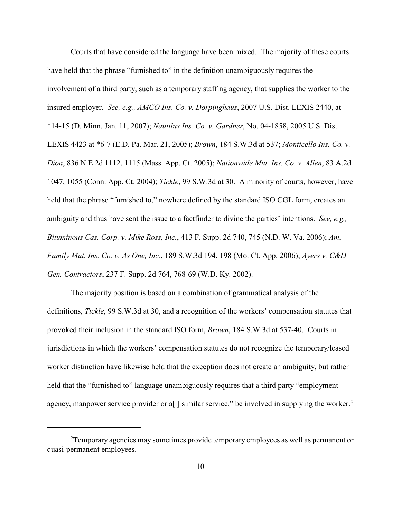Courts that have considered the language have been mixed. The majority of these courts have held that the phrase "furnished to" in the definition unambiguously requires the involvement of a third party, such as a temporary staffing agency, that supplies the worker to the insured employer. *See, e.g., AMCO Ins. Co. v. Dorpinghaus*, 2007 U.S. Dist. LEXIS 2440, at \*14-15 (D. Minn. Jan. 11, 2007); *Nautilus Ins. Co. v. Gardner*, No. 04-1858, 2005 U.S. Dist. LEXIS 4423 at \*6-7 (E.D. Pa. Mar. 21, 2005); *Brown*, 184 S.W.3d at 537; *Monticello Ins. Co. v. Dion*, 836 N.E.2d 1112, 1115 (Mass. App. Ct. 2005); *Nationwide Mut. Ins. Co. v. Allen*, 83 A.2d 1047, 1055 (Conn. App. Ct. 2004); *Tickle*, 99 S.W.3d at 30. A minority of courts, however, have held that the phrase "furnished to," nowhere defined by the standard ISO CGL form, creates an ambiguity and thus have sent the issue to a factfinder to divine the parties' intentions. *See, e.g., Bituminous Cas. Corp. v. Mike Ross, Inc.*, 413 F. Supp. 2d 740, 745 (N.D. W. Va. 2006); *Am. Family Mut. Ins. Co. v. As One, Inc.*, 189 S.W.3d 194, 198 (Mo. Ct. App. 2006); *Ayers v. C&D Gen. Contractors*, 237 F. Supp. 2d 764, 768-69 (W.D. Ky. 2002).

The majority position is based on a combination of grammatical analysis of the definitions, *Tickle*, 99 S.W.3d at 30, and a recognition of the workers' compensation statutes that provoked their inclusion in the standard ISO form, *Brown*, 184 S.W.3d at 537-40. Courts in jurisdictions in which the workers' compensation statutes do not recognize the temporary/leased worker distinction have likewise held that the exception does not create an ambiguity, but rather held that the "furnished to" language unambiguously requires that a third party "employment agency, manpower service provider or a<sup>[]</sup> similar service," be involved in supplying the worker.<sup>2</sup>

<sup>&</sup>lt;sup>2</sup>Temporary agencies may sometimes provide temporary employees as well as permanent or quasi-permanent employees.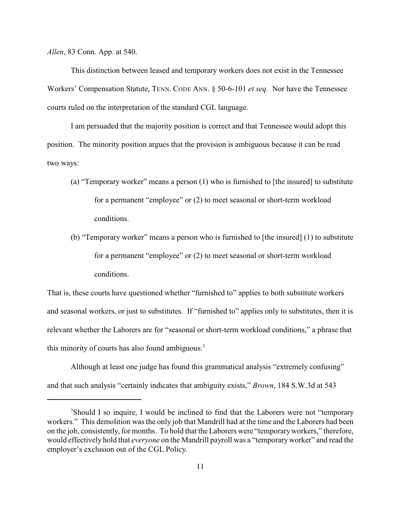*Allen*, 83 Conn. App. at 540.

This distinction between leased and temporary workers does not exist in the Tennessee Workers' Compensation Statute, TENN. CODE ANN. § 50-6-101 *et seq.* Nor have the Tennessee courts ruled on the interpretation of the standard CGL language.

I am persuaded that the majority position is correct and that Tennessee would adopt this position. The minority position argues that the provision is ambiguous because it can be read two ways:

- (a) "Temporary worker" means a person (1) who is furnished to [the insured] to substitute for a permanent "employee" or (2) to meet seasonal or short-term workload conditions.
- (b) "Temporary worker" means a person who is furnished to [the insured] (1) to substitute for a permanent "employee" or (2) to meet seasonal or short-term workload conditions.

That is, these courts have questioned whether "furnished to" applies to both substitute workers and seasonal workers, or just to substitutes. If "furnished to" applies only to substitutes, then it is relevant whether the Laborers are for "seasonal or short-term workload conditions," a phrase that this minority of courts has also found ambiguous. 3

Although at least one judge has found this grammatical analysis "extremely confusing" and that such analysis "certainly indicates that ambiguity exists," *Brown*, 184 S.W.3d at 543

<sup>&</sup>lt;sup>3</sup>Should I so inquire, I would be inclined to find that the Laborers were not "temporary workers." This demolition was the only job that Mandrill had at the time and the Laborers had been on the job, consistently, for months. To hold that the Laborers were "temporaryworkers," therefore, would effectively hold that *everyone* on the Mandrill payroll was a "temporary worker" and read the employer's exclusion out of the CGL Policy.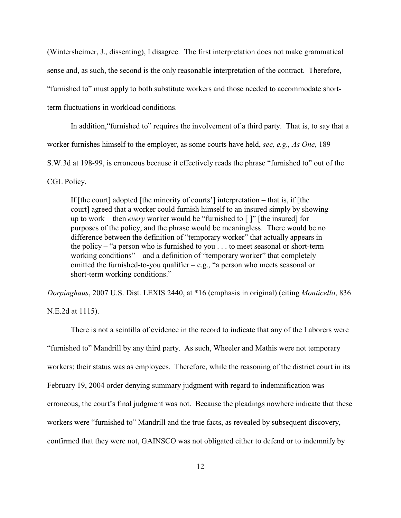(Wintersheimer, J., dissenting), I disagree. The first interpretation does not make grammatical sense and, as such, the second is the only reasonable interpretation of the contract. Therefore, "furnished to" must apply to both substitute workers and those needed to accommodate shortterm fluctuations in workload conditions.

In addition, "furnished to" requires the involvement of a third party. That is, to say that a worker furnishes himself to the employer, as some courts have held, *see, e.g., As One*, 189 S.W.3d at 198-99, is erroneous because it effectively reads the phrase "furnished to" out of the CGL Policy.

If [the court] adopted [the minority of courts'] interpretation – that is, if [the court] agreed that a worker could furnish himself to an insured simply by showing up to work – then *every* worker would be "furnished to [ ]" [the insured] for purposes of the policy, and the phrase would be meaningless. There would be no difference between the definition of "temporary worker" that actually appears in the policy – "a person who is furnished to you . . . to meet seasonal or short-term working conditions" – and a definition of "temporary worker" that completely omitted the furnished-to-you qualifier  $-e.g.,$  "a person who meets seasonal or short-term working conditions."

*Dorpinghaus*, 2007 U.S. Dist. LEXIS 2440, at \*16 (emphasis in original) (citing *Monticello*, 836

N.E.2d at 1115).

There is not a scintilla of evidence in the record to indicate that any of the Laborers were "furnished to" Mandrill by any third party. As such, Wheeler and Mathis were not temporary workers; their status was as employees. Therefore, while the reasoning of the district court in its February 19, 2004 order denying summary judgment with regard to indemnification was erroneous, the court's final judgment was not. Because the pleadings nowhere indicate that these workers were "furnished to" Mandrill and the true facts, as revealed by subsequent discovery, confirmed that they were not, GAINSCO was not obligated either to defend or to indemnify by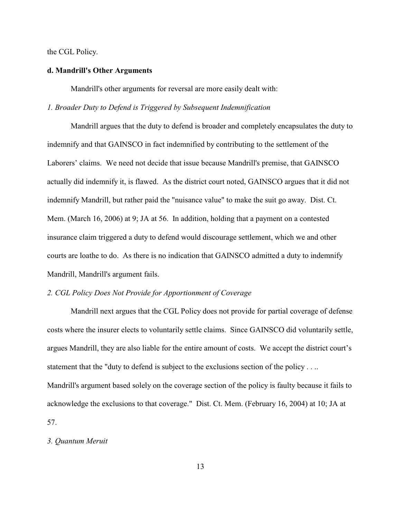the CGL Policy.

#### **d. Mandrill's Other Arguments**

Mandrill's other arguments for reversal are more easily dealt with:

### *1. Broader Duty to Defend is Triggered by Subsequent Indemnification*

Mandrill argues that the duty to defend is broader and completely encapsulates the duty to indemnify and that GAINSCO in fact indemnified by contributing to the settlement of the Laborers' claims. We need not decide that issue because Mandrill's premise, that GAINSCO actually did indemnify it, is flawed. As the district court noted, GAINSCO argues that it did not indemnify Mandrill, but rather paid the "nuisance value" to make the suit go away. Dist. Ct. Mem. (March 16, 2006) at 9; JA at 56. In addition, holding that a payment on a contested insurance claim triggered a duty to defend would discourage settlement, which we and other courts are loathe to do. As there is no indication that GAINSCO admitted a duty to indemnify Mandrill, Mandrill's argument fails.

# *2. CGL Policy Does Not Provide for Apportionment of Coverage*

Mandrill next argues that the CGL Policy does not provide for partial coverage of defense costs where the insurer elects to voluntarily settle claims. Since GAINSCO did voluntarily settle, argues Mandrill, they are also liable for the entire amount of costs. We accept the district court's statement that the "duty to defend is subject to the exclusions section of the policy . . .. Mandrill's argument based solely on the coverage section of the policy is faulty because it fails to acknowledge the exclusions to that coverage." Dist. Ct. Mem. (February 16, 2004) at 10; JA at 57.

# *3. Quantum Meruit*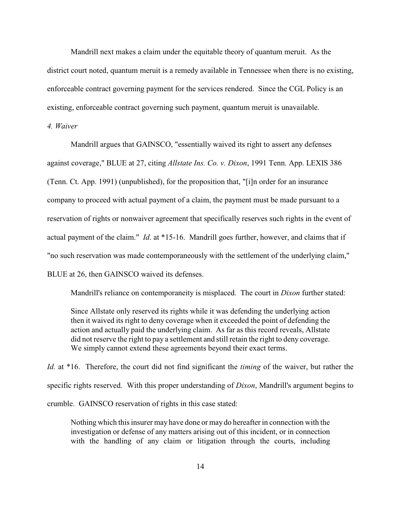Mandrill next makes a claim under the equitable theory of quantum meruit. As the district court noted, quantum meruit is a remedy available in Tennessee when there is no existing, enforceable contract governing payment for the services rendered. Since the CGL Policy is an existing, enforceable contract governing such payment, quantum meruit is unavailable.

#### *4. Waiver*

Mandrill argues that GAINSCO, "essentially waived its right to assert any defenses against coverage," BLUE at 27, citing *Allstate Ins. Co. v. Dixon*, 1991 Tenn. App. LEXIS 386 (Tenn. Ct. App. 1991) (unpublished), for the proposition that, "[i]n order for an insurance company to proceed with actual payment of a claim, the payment must be made pursuant to a reservation of rights or nonwaiver agreement that specifically reserves such rights in the event of actual payment of the claim." *Id*. at \*15-16. Mandrill goes further, however, and claims that if "no such reservation was made contemporaneously with the settlement of the underlying claim," BLUE at 26, then GAINSCO waived its defenses.

Mandrill's reliance on contemporaneity is misplaced. The court in *Dixon* further stated:

Since Allstate only reserved its rights while it was defending the underlying action then it waived its right to deny coverage when it exceeded the point of defending the action and actually paid the underlying claim. As far as this record reveals, Allstate did not reserve the right to pay a settlement and still retain the right to deny coverage. We simply cannot extend these agreements beyond their exact terms.

*Id.* at \*16. Therefore, the court did not find significant the *timing* of the waiver, but rather the specific rights reserved. With this proper understanding of *Dixon*, Mandrill's argument begins to crumble. GAINSCO reservation of rights in this case stated:

Nothing which this insurer may have done or may do hereafter in connection with the investigation or defense of any matters arising out of this incident, or in connection with the handling of any claim or litigation through the courts, including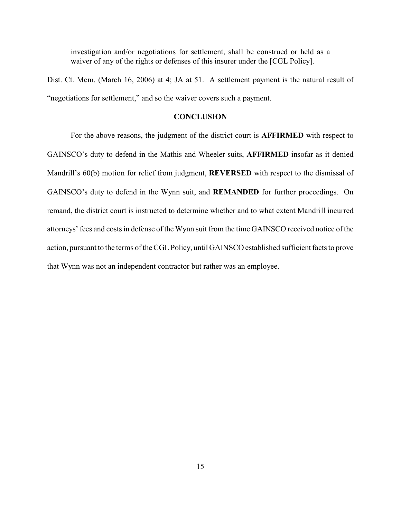investigation and/or negotiations for settlement, shall be construed or held as a waiver of any of the rights or defenses of this insurer under the [CGL Policy].

Dist. Ct. Mem. (March 16, 2006) at 4; JA at 51. A settlement payment is the natural result of "negotiations for settlement," and so the waiver covers such a payment.

# **CONCLUSION**

For the above reasons, the judgment of the district court is **AFFIRMED** with respect to GAINSCO's duty to defend in the Mathis and Wheeler suits, **AFFIRMED** insofar as it denied Mandrill's 60(b) motion for relief from judgment, **REVERSED** with respect to the dismissal of GAINSCO's duty to defend in the Wynn suit, and **REMANDED** for further proceedings. On remand, the district court is instructed to determine whether and to what extent Mandrill incurred attorneys' fees and costs in defense of the Wynn suit from the time GAINSCO received notice of the action, pursuant to the terms of the CGLPolicy, until GAINSCO established sufficient facts to prove that Wynn was not an independent contractor but rather was an employee.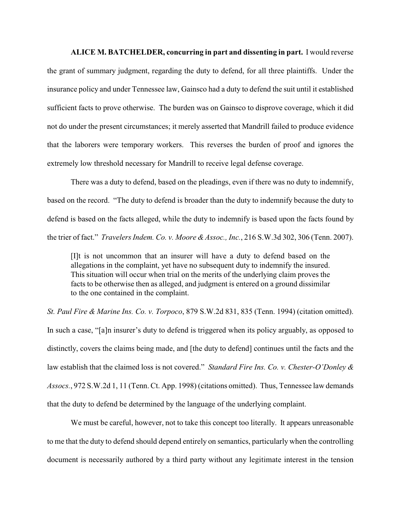**ALICE M. BATCHELDER, concurring in part and dissenting in part.** I would reverse the grant of summary judgment, regarding the duty to defend, for all three plaintiffs. Under the insurance policy and under Tennessee law, Gainsco had a duty to defend the suit until it established sufficient facts to prove otherwise. The burden was on Gainsco to disprove coverage, which it did not do under the present circumstances; it merely asserted that Mandrill failed to produce evidence that the laborers were temporary workers. This reverses the burden of proof and ignores the extremely low threshold necessary for Mandrill to receive legal defense coverage.

There was a duty to defend, based on the pleadings, even if there was no duty to indemnify, based on the record. "The duty to defend is broader than the duty to indemnify because the duty to defend is based on the facts alleged, while the duty to indemnify is based upon the facts found by the trier of fact." *Travelers Indem. Co. v. Moore & Assoc., Inc.*, 216 S.W.3d 302, 306 (Tenn. 2007).

[I]t is not uncommon that an insurer will have a duty to defend based on the allegations in the complaint, yet have no subsequent duty to indemnify the insured. This situation will occur when trial on the merits of the underlying claim proves the facts to be otherwise then as alleged, and judgment is entered on a ground dissimilar to the one contained in the complaint.

*St. Paul Fire & Marine Ins. Co. v. Torpoco*, 879 S.W.2d 831, 835 (Tenn. 1994) (citation omitted). In such a case, "[a]n insurer's duty to defend is triggered when its policy arguably, as opposed to distinctly, covers the claims being made, and [the duty to defend] continues until the facts and the law establish that the claimed loss is not covered." *Standard Fire Ins. Co. v. Chester-O'Donley &*

*Assocs.*, 972 S.W.2d 1, 11 (Tenn. Ct. App. 1998) (citations omitted). Thus, Tennessee law demands that the duty to defend be determined by the language of the underlying complaint.

We must be careful, however, not to take this concept too literally. It appears unreasonable to me that the duty to defend should depend entirely on semantics, particularly when the controlling document is necessarily authored by a third party without any legitimate interest in the tension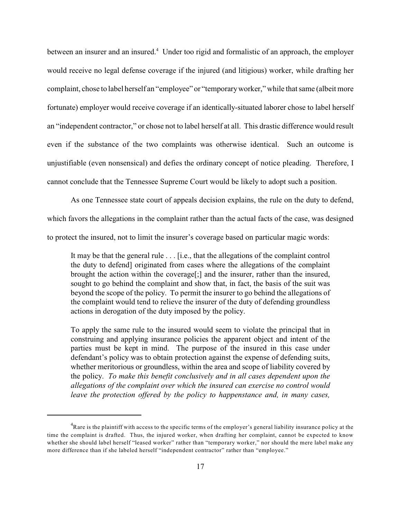between an insurer and an insured.<sup>4</sup> Under too rigid and formalistic of an approach, the employer would receive no legal defense coverage if the injured (and litigious) worker, while drafting her complaint, chose to label herself an "employee" or "temporaryworker," while that same (albeit more fortunate) employer would receive coverage if an identically-situated laborer chose to label herself an "independent contractor," or chose not to label herself at all. This drastic difference would result even if the substance of the two complaints was otherwise identical. Such an outcome is unjustifiable (even nonsensical) and defies the ordinary concept of notice pleading. Therefore, I cannot conclude that the Tennessee Supreme Court would be likely to adopt such a position.

As one Tennessee state court of appeals decision explains, the rule on the duty to defend, which favors the allegations in the complaint rather than the actual facts of the case, was designed to protect the insured, not to limit the insurer's coverage based on particular magic words:

It may be that the general rule . . . [i.e., that the allegations of the complaint control the duty to defend] originated from cases where the allegations of the complaint brought the action within the coverage[;] and the insurer, rather than the insured, sought to go behind the complaint and show that, in fact, the basis of the suit was beyond the scope of the policy. To permit the insurer to go behind the allegations of the complaint would tend to relieve the insurer of the duty of defending groundless actions in derogation of the duty imposed by the policy.

To apply the same rule to the insured would seem to violate the principal that in construing and applying insurance policies the apparent object and intent of the parties must be kept in mind. The purpose of the insured in this case under defendant's policy was to obtain protection against the expense of defending suits, whether meritorious or groundless, within the area and scope of liability covered by the policy. *To make this benefit conclusively and in all cases dependent upon the allegations of the complaint over which the insured can exercise no control would leave the protection offered by the policy to happenstance and, in many cases,*

 $R<sup>4</sup>R$ are is the plaintiff with access to the specific terms of the employer's general liability insurance policy at the time the complaint is drafted. Thus, the injured worker, when drafting her complaint, cannot be expected to know whether she should label herself "leased worker" rather than "temporary worker," nor should the mere label make any more difference than if she labeled herself "independent contractor" rather than "employee."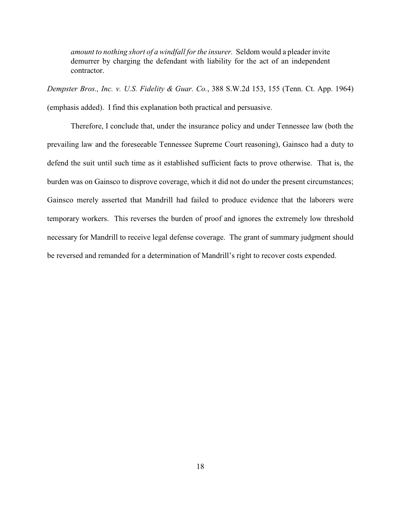*amount to nothing short of a windfall for the insurer.* Seldom would a pleader invite demurrer by charging the defendant with liability for the act of an independent contractor.

*Dempster Bros., Inc. v. U.S. Fidelity & Guar. Co.*, 388 S.W.2d 153, 155 (Tenn. Ct. App. 1964) (emphasis added). I find this explanation both practical and persuasive.

Therefore, I conclude that, under the insurance policy and under Tennessee law (both the prevailing law and the foreseeable Tennessee Supreme Court reasoning), Gainsco had a duty to defend the suit until such time as it established sufficient facts to prove otherwise. That is, the burden was on Gainsco to disprove coverage, which it did not do under the present circumstances; Gainsco merely asserted that Mandrill had failed to produce evidence that the laborers were temporary workers. This reverses the burden of proof and ignores the extremely low threshold necessary for Mandrill to receive legal defense coverage. The grant of summary judgment should be reversed and remanded for a determination of Mandrill's right to recover costs expended.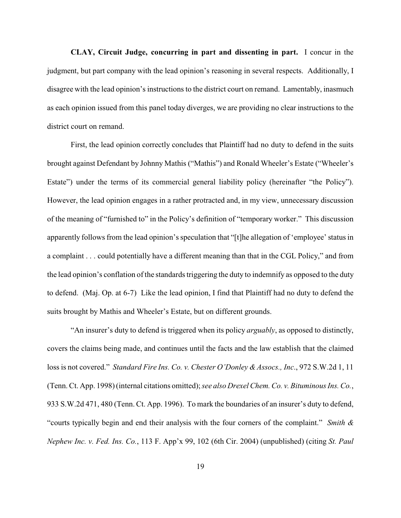**CLAY, Circuit Judge, concurring in part and dissenting in part.** I concur in the judgment, but part company with the lead opinion's reasoning in several respects. Additionally, I disagree with the lead opinion's instructions to the district court on remand. Lamentably, inasmuch as each opinion issued from this panel today diverges, we are providing no clear instructions to the district court on remand.

First, the lead opinion correctly concludes that Plaintiff had no duty to defend in the suits brought against Defendant by Johnny Mathis ("Mathis") and Ronald Wheeler's Estate ("Wheeler's Estate") under the terms of its commercial general liability policy (hereinafter "the Policy"). However, the lead opinion engages in a rather protracted and, in my view, unnecessary discussion of the meaning of "furnished to" in the Policy's definition of "temporary worker." This discussion apparently follows from the lead opinion's speculation that "[t]he allegation of 'employee' status in a complaint . . . could potentially have a different meaning than that in the CGL Policy," and from the lead opinion's conflation of the standards triggering the duty to indemnify as opposed to the duty to defend. (Maj. Op. at 6-7) Like the lead opinion, I find that Plaintiff had no duty to defend the suits brought by Mathis and Wheeler's Estate, but on different grounds.

"An insurer's duty to defend is triggered when its policy *arguably*, as opposed to distinctly, covers the claims being made, and continues until the facts and the law establish that the claimed loss is not covered." *Standard Fire Ins. Co. v. Chester O'Donley & Assocs., Inc*., 972 S.W.2d 1, 11 (Tenn. Ct. App. 1998) (internal citations omitted); *see also Drexel Chem. Co. v. Bituminous Ins. Co.*, 933 S.W.2d 471, 480 (Tenn. Ct. App. 1996). To mark the boundaries of an insurer's duty to defend, "courts typically begin and end their analysis with the four corners of the complaint." *Smith & Nephew Inc. v. Fed. Ins. Co.*, 113 F. App'x 99, 102 (6th Cir. 2004) (unpublished) (citing *St. Paul*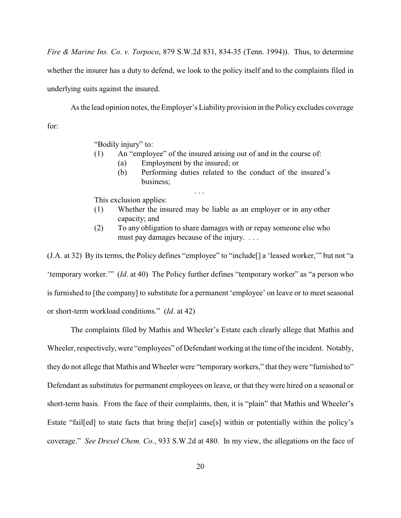*Fire & Marine Ins. Co. v. Torpoco*, 879 S.W.2d 831, 834-35 (Tenn. 1994)). Thus, to determine whether the insurer has a duty to defend, we look to the policy itself and to the complaints filed in underlying suits against the insured.

As the lead opinion notes, the Employer's Liability provision in the Policy excludes coverage for:

"Bodily injury" to:

(1) An "employee" of the insured arising out of and in the course of:

. . .

- (a) Employment by the insured; or
- (b) Performing duties related to the conduct of the insured's business;

This exclusion applies:

- (1) Whether the insured may be liable as an employer or in any other capacity; and
- (2) To any obligation to share damages with or repay someone else who must pay damages because of the injury. . . .

(J.A. at 32) By its terms, the Policy defines "employee" to "include[] a 'leased worker,'" but not "a 'temporary worker.'" (*Id*. at 40) The Policy further defines "temporary worker" as "a person who is furnished to [the company] to substitute for a permanent 'employee' on leave or to meet seasonal or short-term workload conditions." (*Id*. at 42)

The complaints filed by Mathis and Wheeler's Estate each clearly allege that Mathis and Wheeler, respectively, were "employees" of Defendant working at the time of the incident. Notably, they do not allege that Mathis and Wheeler were "temporary workers," that they were "furnished to" Defendant as substitutes for permanent employees on leave, or that they were hired on a seasonal or short-term basis. From the face of their complaints, then, it is "plain" that Mathis and Wheeler's Estate "fail[ed] to state facts that bring the[ir] case[s] within or potentially within the policy's coverage." *See Drexel Chem. Co.*, 933 S.W.2d at 480. In my view, the allegations on the face of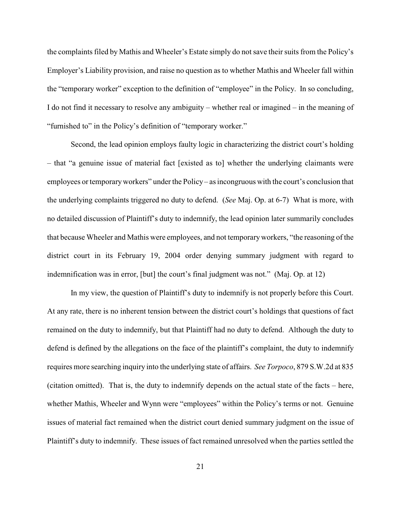the complaints filed by Mathis and Wheeler's Estate simply do not save their suits from the Policy's Employer's Liability provision, and raise no question as to whether Mathis and Wheeler fall within the "temporary worker" exception to the definition of "employee" in the Policy. In so concluding, I do not find it necessary to resolve any ambiguity – whether real or imagined – in the meaning of "furnished to" in the Policy's definition of "temporary worker."

Second, the lead opinion employs faulty logic in characterizing the district court's holding – that "a genuine issue of material fact [existed as to] whether the underlying claimants were employees or temporary workers" under the Policy – as incongruous with the court's conclusion that the underlying complaints triggered no duty to defend. (*See* Maj. Op. at 6-7) What is more, with no detailed discussion of Plaintiff's duty to indemnify, the lead opinion later summarily concludes that because Wheeler and Mathis were employees, and not temporary workers, "the reasoning of the district court in its February 19, 2004 order denying summary judgment with regard to indemnification was in error, [but] the court's final judgment was not." (Maj. Op. at 12)

In my view, the question of Plaintiff's duty to indemnify is not properly before this Court. At any rate, there is no inherent tension between the district court's holdings that questions of fact remained on the duty to indemnify, but that Plaintiff had no duty to defend. Although the duty to defend is defined by the allegations on the face of the plaintiff's complaint, the duty to indemnify requires more searching inquiry into the underlying state of affairs. *See Torpoco*, 879 S.W.2d at 835 (citation omitted). That is, the duty to indemnify depends on the actual state of the facts – here, whether Mathis, Wheeler and Wynn were "employees" within the Policy's terms or not. Genuine issues of material fact remained when the district court denied summary judgment on the issue of Plaintiff's duty to indemnify. These issues of fact remained unresolved when the parties settled the